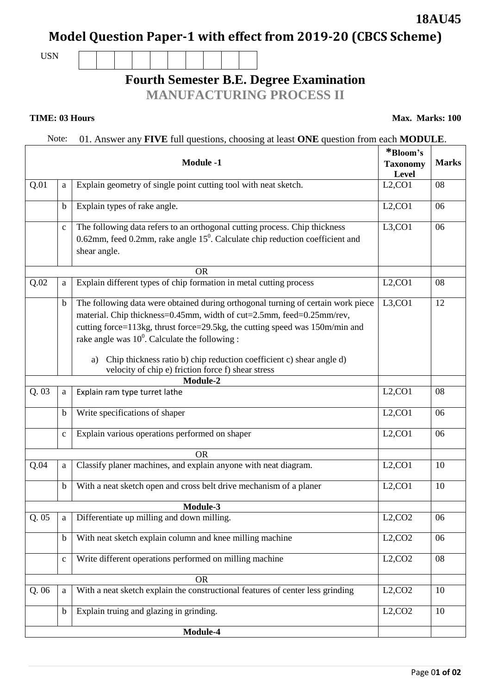### **18AU45**

# **Model Question Paper-1 with effect from 2019-20 (CBCS Scheme)**

USN

# **Fourth Semester B.E. Degree Examination**

**MANUFACTURING PROCESS II**

**TIME: 03 Hours** Max. Marks: 100

### Note: 01. Answer any **FIVE** full questions, choosing at least **ONE** question from each **MODULE**.

| <b>Module -1</b><br>a |              |                                                                                                                                                                                                                                                                                                                                                                                                                                 | *Bloom's<br><b>Taxonomy</b><br>Level | <b>Marks</b> |
|-----------------------|--------------|---------------------------------------------------------------------------------------------------------------------------------------------------------------------------------------------------------------------------------------------------------------------------------------------------------------------------------------------------------------------------------------------------------------------------------|--------------------------------------|--------------|
| Q.01                  |              | Explain geometry of single point cutting tool with neat sketch.                                                                                                                                                                                                                                                                                                                                                                 | L2, CO1                              | 08           |
|                       | $\mathbf b$  | Explain types of rake angle.                                                                                                                                                                                                                                                                                                                                                                                                    | L2, CO1                              | 06           |
|                       | $\mathbf{C}$ | The following data refers to an orthogonal cutting process. Chip thickness<br>0.62mm, feed 0.2mm, rake angle $15^0$ . Calculate chip reduction coefficient and<br>shear angle.                                                                                                                                                                                                                                                  | L3, CO1                              | 06           |
|                       |              | <b>OR</b>                                                                                                                                                                                                                                                                                                                                                                                                                       |                                      |              |
| Q.02                  | a            | Explain different types of chip formation in metal cutting process                                                                                                                                                                                                                                                                                                                                                              | L2, CO1                              | 08           |
|                       | $\mathbf b$  | The following data were obtained during orthogonal turning of certain work piece<br>material. Chip thickness=0.45mm, width of cut=2.5mm, feed=0.25mm/rev,<br>cutting force=113kg, thrust force=29.5kg, the cutting speed was 150m/min and<br>rake angle was $10^0$ . Calculate the following :<br>a) Chip thickness ratio b) chip reduction coefficient c) shear angle d)<br>velocity of chip e) friction force f) shear stress | L3, CO1                              | 12           |
|                       |              | Module-2                                                                                                                                                                                                                                                                                                                                                                                                                        |                                      |              |
| Q.03                  | a            | Explain ram type turret lathe                                                                                                                                                                                                                                                                                                                                                                                                   | L2, CO1                              | 08           |
|                       | $\mathbf b$  | Write specifications of shaper                                                                                                                                                                                                                                                                                                                                                                                                  | L2, CO1                              | 06           |
|                       | $\mathbf{C}$ | Explain various operations performed on shaper                                                                                                                                                                                                                                                                                                                                                                                  | L2, CO1                              | 06           |
| <b>OR</b>             |              |                                                                                                                                                                                                                                                                                                                                                                                                                                 |                                      |              |
| Q.04                  | a            | Classify planer machines, and explain anyone with neat diagram.                                                                                                                                                                                                                                                                                                                                                                 | L2, CO1                              | 10           |
|                       | $\mathbf b$  | With a neat sketch open and cross belt drive mechanism of a planer                                                                                                                                                                                                                                                                                                                                                              | L2, CO1                              | 10           |
| Module-3              |              |                                                                                                                                                                                                                                                                                                                                                                                                                                 |                                      |              |
| Q.05                  |              | Differentiate up milling and down milling.                                                                                                                                                                                                                                                                                                                                                                                      | L2, CO2                              | 06           |
|                       | $\mathbf b$  | With neat sketch explain column and knee milling machine                                                                                                                                                                                                                                                                                                                                                                        | L2, CO2                              | 06           |
|                       | $\mathbf{C}$ | Write different operations performed on milling machine                                                                                                                                                                                                                                                                                                                                                                         | L2, CO2                              | 08           |
|                       |              | <b>OR</b>                                                                                                                                                                                                                                                                                                                                                                                                                       |                                      |              |
| Q.06                  | a            | With a neat sketch explain the constructional features of center less grinding                                                                                                                                                                                                                                                                                                                                                  | L2, CO2                              | 10           |
|                       | $\mathbf b$  | Explain truing and glazing in grinding.                                                                                                                                                                                                                                                                                                                                                                                         | L2, CO2                              | 10           |
|                       |              | Module-4                                                                                                                                                                                                                                                                                                                                                                                                                        |                                      |              |